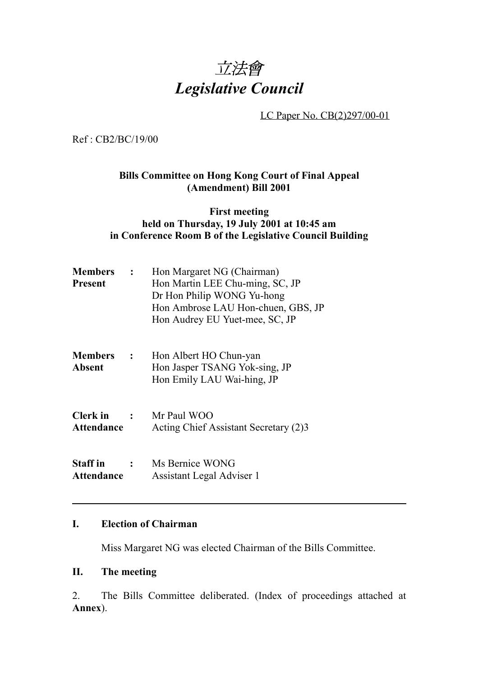

LC Paper No. CB(2)297/00-01

Ref : CB2/BC/19/00

## **Bills Committee on Hong Kong Court of Final Appeal (Amendment) Bill 2001**

#### **First meeting held on Thursday, 19 July 2001 at 10:45 am in Conference Room B of the Legislative Council Building**

| <b>Members</b> :<br>Present          |               | Hon Margaret NG (Chairman)<br>Hon Martin LEE Chu-ming, SC, JP<br>Dr Hon Philip WONG Yu-hong<br>Hon Ambrose LAU Hon-chuen, GBS, JP<br>Hon Audrey EU Yuet-mee, SC, JP |  |
|--------------------------------------|---------------|---------------------------------------------------------------------------------------------------------------------------------------------------------------------|--|
| <b>Members :</b><br><b>Absent</b>    |               | Hon Albert HO Chun-yan<br>Hon Jasper TSANG Yok-sing, JP<br>Hon Emily LAU Wai-hing, JP                                                                               |  |
| Clerk in<br>Attendance               | $\mathbf{r}$  | Mr Paul WOO<br>Acting Chief Assistant Secretary (2)3                                                                                                                |  |
| <b>Staff</b> in<br><b>Attendance</b> | $\mathcal{L}$ | Ms Bernice WONG<br>Assistant Legal Adviser 1                                                                                                                        |  |

### **I. Election of Chairman**

Miss Margaret NG was elected Chairman of the Bills Committee.

### **II. The meeting**

2. The Bills Committee deliberated. (Index of proceedings attached at **Annex**).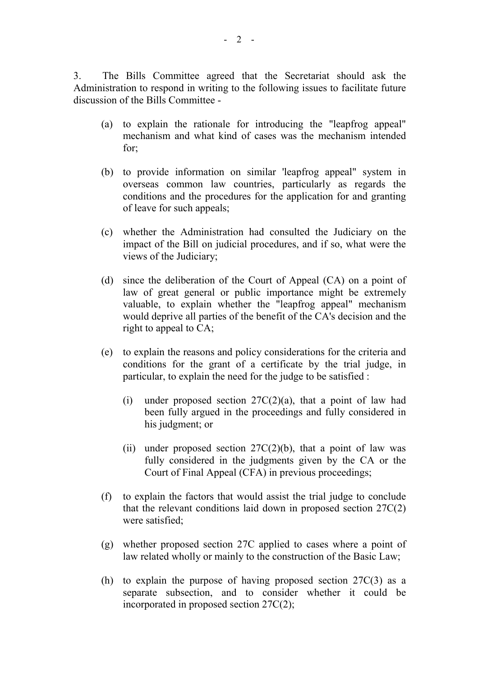3. The Bills Committee agreed that the Secretariat should ask the Administration to respond in writing to the following issues to facilitate future discussion of the Bills Committee -

- (a) to explain the rationale for introducing the "leapfrog appeal" mechanism and what kind of cases was the mechanism intended for;
- (b) to provide information on similar 'leapfrog appeal" system in overseas common law countries, particularly as regards the conditions and the procedures for the application for and granting of leave for such appeals;
- (c) whether the Administration had consulted the Judiciary on the impact of the Bill on judicial procedures, and if so, what were the views of the Judiciary;
- (d) since the deliberation of the Court of Appeal (CA) on a point of law of great general or public importance might be extremely valuable, to explain whether the "leapfrog appeal" mechanism would deprive all parties of the benefit of the CA's decision and the right to appeal to CA;
- (e) to explain the reasons and policy considerations for the criteria and conditions for the grant of a certificate by the trial judge, in particular, to explain the need for the judge to be satisfied :
	- (i) under proposed section  $27C(2)(a)$ , that a point of law had been fully argued in the proceedings and fully considered in his judgment; or
	- (ii) under proposed section  $27C(2)(b)$ , that a point of law was fully considered in the judgments given by the CA or the Court of Final Appeal (CFA) in previous proceedings;
- (f) to explain the factors that would assist the trial judge to conclude that the relevant conditions laid down in proposed section 27C(2) were satisfied;
- (g) whether proposed section 27C applied to cases where a point of law related wholly or mainly to the construction of the Basic Law;
- (h) to explain the purpose of having proposed section 27C(3) as a separate subsection, and to consider whether it could be incorporated in proposed section 27C(2);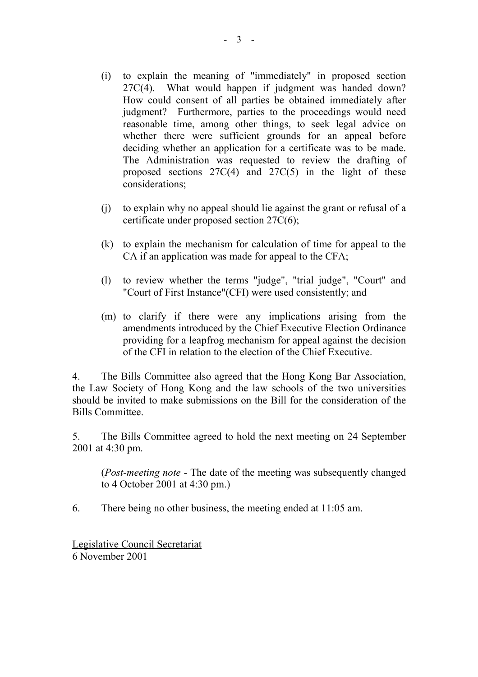- (i) to explain the meaning of "immediately" in proposed section 27C(4). What would happen if judgment was handed down? How could consent of all parties be obtained immediately after judgment? Furthermore, parties to the proceedings would need reasonable time, among other things, to seek legal advice on whether there were sufficient grounds for an appeal before deciding whether an application for a certificate was to be made. The Administration was requested to review the drafting of proposed sections 27C(4) and 27C(5) in the light of these considerations;
- (j) to explain why no appeal should lie against the grant or refusal of a certificate under proposed section 27C(6);
- (k) to explain the mechanism for calculation of time for appeal to the CA if an application was made for appeal to the CFA;
- (l) to review whether the terms "judge", "trial judge", "Court" and "Court of First Instance"(CFI) were used consistently; and
- (m) to clarify if there were any implications arising from the amendments introduced by the Chief Executive Election Ordinance providing for a leapfrog mechanism for appeal against the decision of the CFI in relation to the election of the Chief Executive.

4. The Bills Committee also agreed that the Hong Kong Bar Association, the Law Society of Hong Kong and the law schools of the two universities should be invited to make submissions on the Bill for the consideration of the Bills Committee.

5. The Bills Committee agreed to hold the next meeting on 24 September 2001 at 4:30 pm.

(*Post-meeting note* - The date of the meeting was subsequently changed to 4 October 2001 at 4:30 pm.)

6. There being no other business, the meeting ended at 11:05 am.

Legislative Council Secretariat 6 November 2001